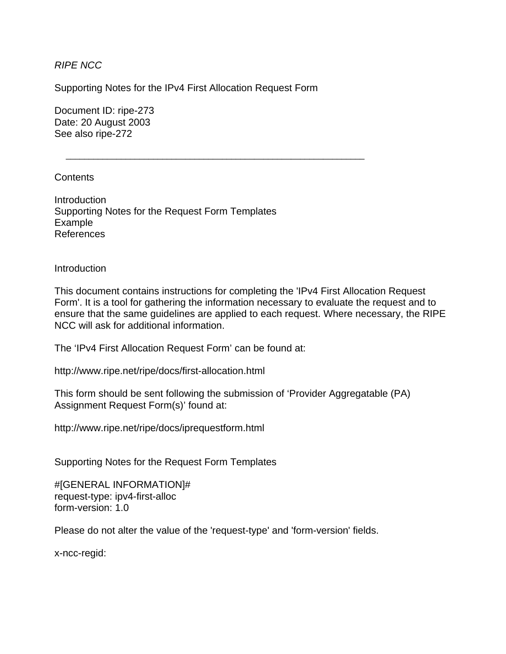## *RIPE NCC*

Supporting Notes for the IPv4 First Allocation Request Form

 $\overline{\phantom{a}}$  ,  $\overline{\phantom{a}}$  ,  $\overline{\phantom{a}}$  ,  $\overline{\phantom{a}}$  ,  $\overline{\phantom{a}}$  ,  $\overline{\phantom{a}}$  ,  $\overline{\phantom{a}}$  ,  $\overline{\phantom{a}}$  ,  $\overline{\phantom{a}}$  ,  $\overline{\phantom{a}}$  ,  $\overline{\phantom{a}}$  ,  $\overline{\phantom{a}}$  ,  $\overline{\phantom{a}}$  ,  $\overline{\phantom{a}}$  ,  $\overline{\phantom{a}}$  ,  $\overline{\phantom{a}}$ 

Document ID: ripe-273 Date: 20 August 2003 See also ripe-272

## **Contents**

Introduction Supporting Notes for the Request Form Templates Example References

## Introduction

This document contains instructions for completing the 'IPv4 First Allocation Request Form'. It is a tool for gathering the information necessary to evaluate the request and to ensure that the same guidelines are applied to each request. Where necessary, the RIPE NCC will ask for additional information.

The 'IPv4 First Allocation Request Form' can be found at:

http://www.ripe.net/ripe/docs/first-allocation.html

This form should be sent following the submission of 'Provider Aggregatable (PA) Assignment Request Form(s)' found at:

http://www.ripe.net/ripe/docs/iprequestform.html

Supporting Notes for the Request Form Templates

#[GENERAL INFORMATION]# request-type: ipv4-first-alloc form-version: 1.0

Please do not alter the value of the 'request-type' and 'form-version' fields.

x-ncc-regid: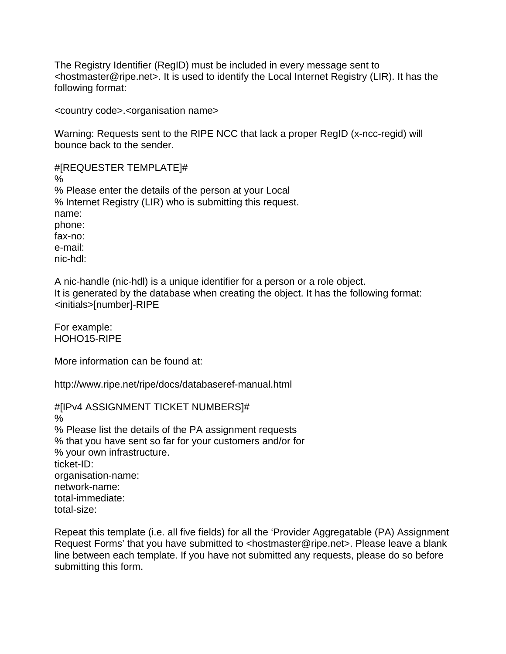The Registry Identifier (RegID) must be included in every message sent to <hostmaster@ripe.net>. It is used to identify the Local Internet Registry (LIR). It has the following format:

<country code>.<organisation name>

Warning: Requests sent to the RIPE NCC that lack a proper RegID (x-ncc-regid) will bounce back to the sender.

#[REQUESTER TEMPLATE]# % % Please enter the details of the person at your Local % Internet Registry (LIR) who is submitting this request. name: phone: fax-no: e-mail: nic-hdl:

A nic-handle (nic-hdl) is a unique identifier for a person or a role object. It is generated by the database when creating the object. It has the following format: <initials>[number]-RIPE

For example: HOHO15-RIPE

More information can be found at:

http://www.ripe.net/ripe/docs/databaseref-manual.html

#[IPv4 ASSIGNMENT TICKET NUMBERS]# % % Please list the details of the PA assignment requests % that you have sent so far for your customers and/or for % your own infrastructure. ticket-ID: organisation-name: network-name: total-immediate: total-size:

Repeat this template (i.e. all five fields) for all the 'Provider Aggregatable (PA) Assignment Request Forms' that you have submitted to <hostmaster@ripe.net>. Please leave a blank line between each template. If you have not submitted any requests, please do so before submitting this form.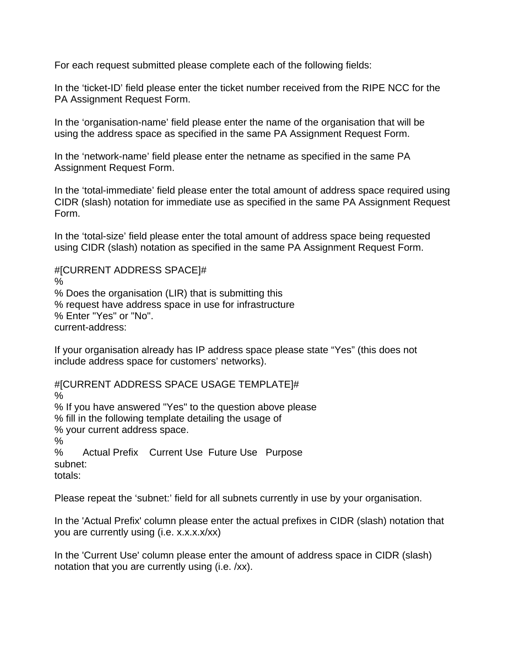For each request submitted please complete each of the following fields:

In the 'ticket-ID' field please enter the ticket number received from the RIPE NCC for the PA Assignment Request Form.

In the 'organisation-name' field please enter the name of the organisation that will be using the address space as specified in the same PA Assignment Request Form.

In the 'network-name' field please enter the netname as specified in the same PA Assignment Request Form.

In the 'total-immediate' field please enter the total amount of address space required using CIDR (slash) notation for immediate use as specified in the same PA Assignment Request Form.

In the 'total-size' field please enter the total amount of address space being requested using CIDR (slash) notation as specified in the same PA Assignment Request Form.

#[CURRENT ADDRESS SPACE]# % % Does the organisation (LIR) that is submitting this % request have address space in use for infrastructure % Enter "Yes" or "No". current-address:

If your organisation already has IP address space please state "Yes" (this does not include address space for customers' networks).

#[CURRENT ADDRESS SPACE USAGE TEMPLATE]# % % If you have answered "Yes" to the question above please % fill in the following template detailing the usage of % your current address space. % % Actual Prefix Current Use Future Use Purpose subnet: totals:

Please repeat the 'subnet:' field for all subnets currently in use by your organisation.

In the 'Actual Prefix' column please enter the actual prefixes in CIDR (slash) notation that you are currently using (i.e. x.x.x.x/xx)

In the 'Current Use' column please enter the amount of address space in CIDR (slash) notation that you are currently using (i.e. /xx).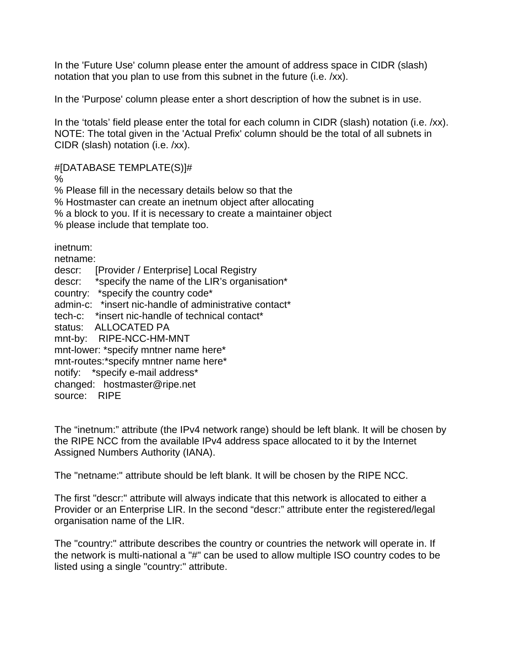In the 'Future Use' column please enter the amount of address space in CIDR (slash) notation that you plan to use from this subnet in the future (i.e. /xx).

In the 'Purpose' column please enter a short description of how the subnet is in use.

In the 'totals' field please enter the total for each column in CIDR (slash) notation (i.e. /xx). NOTE: The total given in the 'Actual Prefix' column should be the total of all subnets in CIDR (slash) notation (i.e. /xx).

#[DATABASE TEMPLATE(S)]#

%

% Please fill in the necessary details below so that the % Hostmaster can create an inetnum object after allocating % a block to you. If it is necessary to create a maintainer object % please include that template too.

inetnum:

netname: descr: [Provider / Enterprise] Local Registry descr: \*specify the name of the LIR's organisation\* country: \*specify the country code\* admin-c: \*insert nic-handle of administrative contact\* tech-c: \*insert nic-handle of technical contact\* status: ALLOCATED PA mnt-by: RIPE-NCC-HM-MNT mnt-lower: \*specify mntner name here\* mnt-routes:\*specify mntner name here\* notify: \*specify e-mail address\* changed: hostmaster@ripe.net source: RIPE

The "inetnum:" attribute (the IPv4 network range) should be left blank. It will be chosen by the RIPE NCC from the available IPv4 address space allocated to it by the Internet Assigned Numbers Authority (IANA).

The "netname:" attribute should be left blank. It will be chosen by the RIPE NCC.

The first "descr:" attribute will always indicate that this network is allocated to either a Provider or an Enterprise LIR. In the second "descr:" attribute enter the registered/legal organisation name of the LIR.

The "country:" attribute describes the country or countries the network will operate in. If the network is multi-national a "#" can be used to allow multiple ISO country codes to be listed using a single "country:" attribute.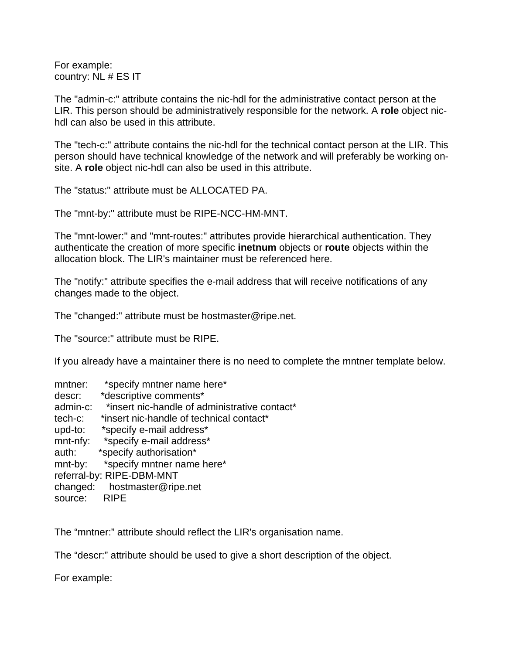For example: country: NL # ES IT

The "admin-c:" attribute contains the nic-hdl for the administrative contact person at the LIR. This person should be administratively responsible for the network. A **role** object nichdl can also be used in this attribute.

The "tech-c:" attribute contains the nic-hdl for the technical contact person at the LIR. This person should have technical knowledge of the network and will preferably be working onsite. A **role** object nic-hdl can also be used in this attribute.

The "status:" attribute must be ALLOCATED PA.

The "mnt-by:" attribute must be RIPE-NCC-HM-MNT.

The "mnt-lower:" and "mnt-routes:" attributes provide hierarchical authentication. They authenticate the creation of more specific **inetnum** objects or **route** objects within the allocation block. The LIR's maintainer must be referenced here.

The "notify:" attribute specifies the e-mail address that will receive notifications of any changes made to the object.

The "changed:" attribute must be hostmaster@ripe.net.

The "source:" attribute must be RIPE.

If you already have a maintainer there is no need to complete the mntner template below.

| mntner:                   | *specify mntner name here*                    |
|---------------------------|-----------------------------------------------|
| descr:                    | *descriptive comments*                        |
| admin-c:                  | *insert nic-handle of administrative contact* |
| tech-c:                   | *insert nic-handle of technical contact*      |
| upd-to:                   | *specify e-mail address*                      |
| mnt-nfy:                  | *specify e-mail address*                      |
| auth:                     | *specify authorisation*                       |
| mnt-by:                   | *specify mntner name here*                    |
| referral-by: RIPE-DBM-MNT |                                               |
| changed:                  | hostmaster@ripe.net                           |
| source:                   | <b>RIPE</b>                                   |

The "mntner:" attribute should reflect the LIR's organisation name.

The "descr:" attribute should be used to give a short description of the object.

For example: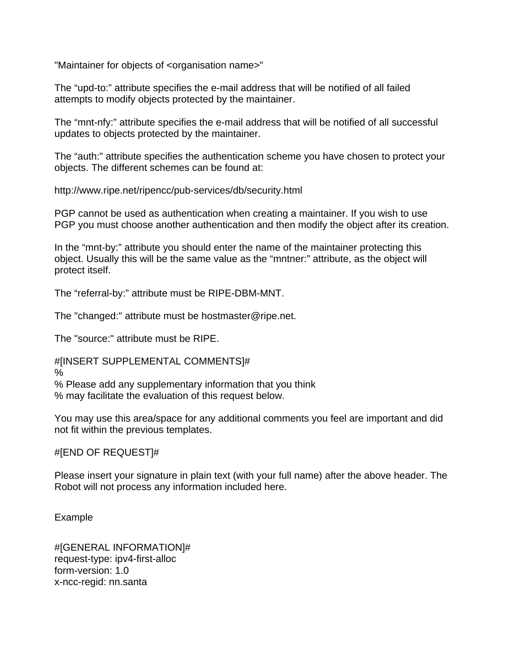"Maintainer for objects of <organisation name>"

The "upd-to:" attribute specifies the e-mail address that will be notified of all failed attempts to modify objects protected by the maintainer.

The "mnt-nfy:" attribute specifies the e-mail address that will be notified of all successful updates to objects protected by the maintainer.

The "auth:" attribute specifies the authentication scheme you have chosen to protect your objects. The different schemes can be found at:

http://www.ripe.net/ripencc/pub-services/db/security.html

PGP cannot be used as authentication when creating a maintainer. If you wish to use PGP you must choose another authentication and then modify the object after its creation.

In the "mnt-by:" attribute you should enter the name of the maintainer protecting this object. Usually this will be the same value as the "mntner:" attribute, as the object will protect itself.

The "referral-by:" attribute must be RIPE-DBM-MNT.

The "changed:" attribute must be hostmaster@ripe.net.

The "source:" attribute must be RIPE.

#[INSERT SUPPLEMENTAL COMMENTS]#

%

% Please add any supplementary information that you think

% may facilitate the evaluation of this request below.

You may use this area/space for any additional comments you feel are important and did not fit within the previous templates.

#[END OF REQUEST]#

Please insert your signature in plain text (with your full name) after the above header. The Robot will not process any information included here.

Example

#[GENERAL INFORMATION]# request-type: ipv4-first-alloc form-version: 1.0 x-ncc-regid: nn.santa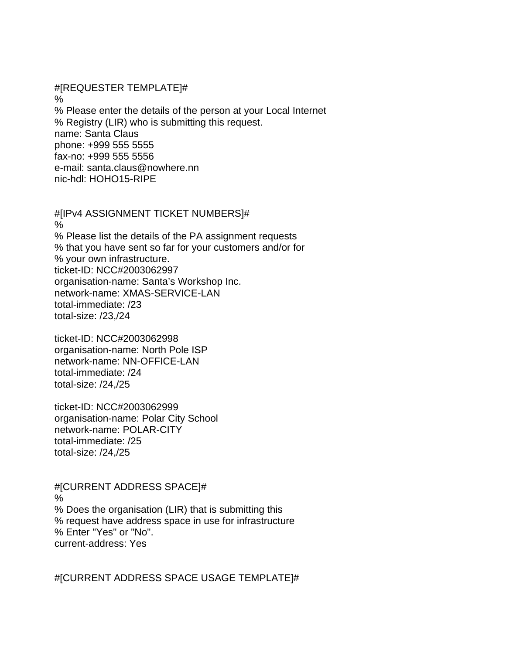#[REQUESTER TEMPLATE]# % % Please enter the details of the person at your Local Internet % Registry (LIR) who is submitting this request. name: Santa Claus phone: +999 555 5555 fax-no: +999 555 5556 e-mail: santa.claus@nowhere.nn nic-hdl: HOHO15-RIPE

#[IPv4 ASSIGNMENT TICKET NUMBERS]#  $\frac{0}{0}$ % Please list the details of the PA assignment requests % that you have sent so far for your customers and/or for % your own infrastructure. ticket-ID: NCC#2003062997 organisation-name: Santa's Workshop Inc. network-name: XMAS-SERVICE-LAN total-immediate: /23 total-size: /23,/24

ticket-ID: NCC#2003062998 organisation-name: North Pole ISP network-name: NN-OFFICE-LAN total-immediate: /24 total-size: /24,/25

ticket-ID: NCC#2003062999 organisation-name: Polar City School network-name: POLAR-CITY total-immediate: /25 total-size: /24,/25

#[CURRENT ADDRESS SPACE]# % % Does the organisation (LIR) that is submitting this % request have address space in use for infrastructure % Enter "Yes" or "No". current-address: Yes

#[CURRENT ADDRESS SPACE USAGE TEMPLATE]#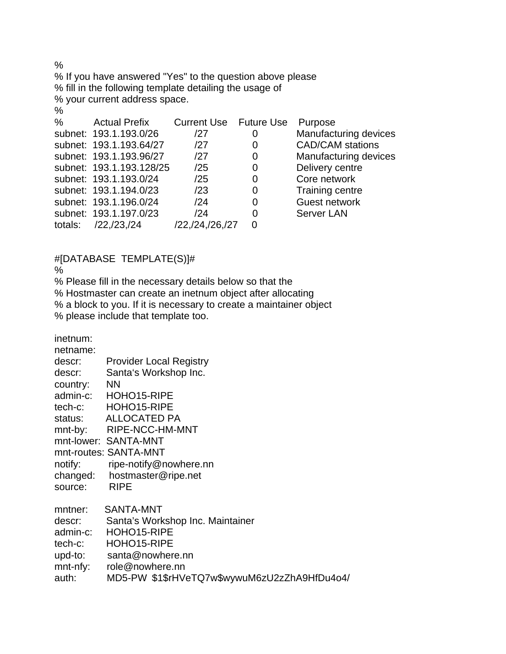$\frac{0}{0}$ % If you have answered "Yes" to the question above please % fill in the following template detailing the usage of % your current address space.  $\frac{0}{0}$ % Actual Prefix Current Use Future Use Purpose subnet: 193.1.193.0/26 /27 0 Manufacturing devices subnet: 193.1.193.64/27 /27 0 CAD/CAM stations subnet: 193.1.193.96/27 /27 0 Manufacturing devices subnet: 193.1.193.128/25 /25 0 Delivery centre subnet: 193.1.193.0/24 /25 0 Core network subnet: 193.1.194.0/23 /23 0 Training centre subnet: 193.1.196.0/24 /24 0 Guest network subnet: 193.1.197.0/23 /24 0 Server LAN totals: /22,/23,/24 /22,/24,/26,/27 0

## #[DATABASE TEMPLATE(S)]#

%

% Please fill in the necessary details below so that the

% Hostmaster can create an inetnum object after allocating

% a block to you. If it is necessary to create a maintainer object

% please include that template too.

inetnum:

| netname: |                                              |
|----------|----------------------------------------------|
| descr:   | <b>Provider Local Registry</b>               |
| descr:   | Santa's Workshop Inc.                        |
| country: | <b>NN</b>                                    |
|          | admin-c: HOHO15-RIPE                         |
|          | tech-c: HOHO15-RIPE                          |
|          | status: ALLOCATED PA                         |
|          | mnt-by: RIPE-NCC-HM-MNT                      |
|          | mnt-lower: SANTA-MNT                         |
|          | mnt-routes: SANTA-MNT                        |
| notify:  | ripe-notify@nowhere.nn                       |
|          | changed: hostmaster@ripe.net                 |
| source:  | <b>RIPE</b>                                  |
| mntner:  | SANTA-MNT                                    |
| descr:   | Santa's Workshop Inc. Maintainer             |
| admin-c: | HOHO15-RIPE                                  |
| tech-c:  | HOHO15-RIPE                                  |
| upd-to:  | santa@nowhere.nn                             |
|          | mnt-nfy: role@nowhere.nn                     |
| auth:    | MD5-PW \$1\$rHVeTQ7w\$wywuM6zU2zZhA9HfDu4o4/ |